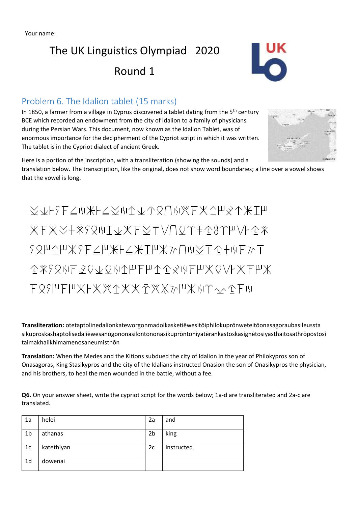# The UK Linguistics Olympiad 2020 Round 1



#### Problem 6. The Idalion tablet (15 marks)

In 1850, a farmer from a village in Cyprus discovered a tablet dating from the  $5<sup>th</sup>$  century BCE which recorded an endowment from the city of Idalion to a family of physicians during the Persian Wars. This document, now known as the Idalion Tablet, was of enormous importance for the decipherment of the Cypriot script in which it was written. The tablet is in the Cypriot dialect of ancient Greek.



Here is a portion of the inscription, with a transliteration (showing the sounds) and a translation below. The transcription, like the original, does not show word boundaries; a line over a vowel shows that the vowel is long.

XvFSEZWXFZXWAVARUWXEXAPXAXIP XFXX+XSQWI&XFXTVNQY+18YHVL1X  $58$  H 1 H  $\times$  F  $\leq$  H  $\times$  H  $\leq$   $\times$  T  $\parallel$  X  $\geq$   $\cap$  H  $\leq$  T  $\leq$  + H  $\parallel$   $\geq$  T CXSQWFZQVQWIMFPICCXWFPXQVFXFPX F89HFHXFXXAXXAXXMHXMY~^CFM

**Transliteration:** otetaptolinedalionkateworgonmadoikasketiēwesitōiphilokuprōnweteitōonasagoraubasileussta sikuproskashaptolisedaliēwesanōgononasilontononasikuprōntoniyatērankastoskasignētosiyasthaitosathrōpostosi taimakhaiikhimamenosaneumisthōn

**Translation:** When the Medes and the Kitions subdued the city of Idalion in the year of Philokypros son of Onasagoras, King Stasikypros and the city of the Idalians instructed Onasion the son of Onasikypros the physician, and his brothers, to heal the men wounded in the battle, without a fee.

**Q6.** On your answer sheet, write the cypriot script for the words below; 1a-d are transliterated and 2a-c are translated.

| 1a             | helei      | 2a             | and        |
|----------------|------------|----------------|------------|
| 1b             | athanas    | 2 <sub>b</sub> | king       |
| 1 <sub>c</sub> | katethiyan | 2c             | instructed |
| 1d             | dowenai    |                |            |